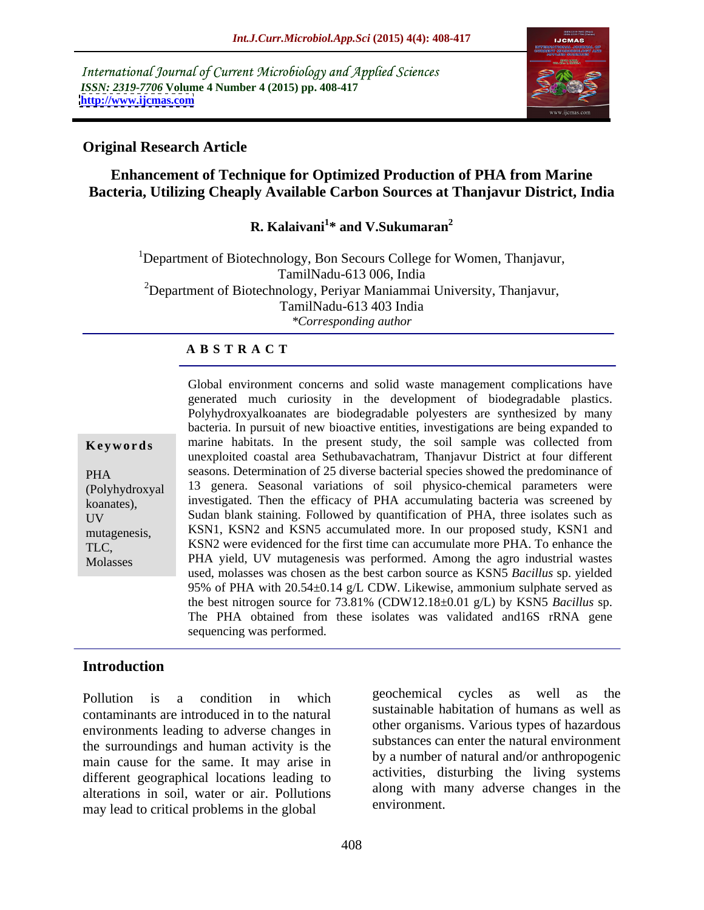International Journal of Current Microbiology and Applied Sciences *ISSN: 2319-7706* **Volume 4 Number 4 (2015) pp. 408-417 <http://www.ijcmas.com>**



### **Original Research Article**

### **Enhancement of Technique for Optimized Production of PHA from Marine Bacteria, Utilizing Cheaply Available Carbon Sources at Thanjavur District, India**

### **R. Kalaivani<sup>1</sup> \* and V.Sukumaran<sup>2</sup>**

<sup>1</sup>Department of Biotechnology, Bon Secours College for Women, Thanjavur, TamilNadu-613 006, India <sup>2</sup>Department of Biotechnology, Periyar Maniammai University, Thanjavur, TamilNadu-613 403 India *\*Corresponding author*

### **A B S T R A C T**

Molasses

Global environment concerns and solid waste management complications have generated much curiosity in the development of biodegradable plastics. Polyhydroxyalkoanates are biodegradable polyesters are synthesized by many bacteria. In pursuit of new bioactive entities, investigations are being expanded to **Keywords** marine habitats. In the present study, the soil sample was collected from unexploited coastal area Sethubavachatram, Thanjavur District at four different seasons. Determination of 25 diverse bacterial species showed the predominance of PHA (Polyhydroxyal 13 genera. Seasonal variations of soil physico-chemical parameters were investigated. Then the efficacy of PHA accumulating bacteria was screened by koanates), meestigated. Then the efficacy of PHA accumulating bacteria was screened by<br>UV Sudan blank staining. Followed by quantification of PHA, three isolates such as mutagenesis, KSN1, KSN2 and KSN5 accumulated more. In our proposed study, KSN1 and KSN2 were evidenced for the first time can accumulate more PHA. To enhance the TLC, PHA yield, UV mutagenesis was performed. Among the agro industrial wastes used, molasses was chosen as the best carbon source as KSN5 *Bacillus* sp. yielded 95% of PHA with 20.54±0.14 g/L CDW. Likewise, ammonium sulphate served as the best nitrogen source for 73.81% (CDW12.18±0.01 g/L) by KSN5 *Bacillus* sp. The PHA obtained from these isolates was validated and16S rRNA gene sequencing was performed.

### **Introduction**

contaminants are introduced in to the natural environments leading to adverse changes in the surroundings and human activity is the main cause for the same. It may arise in different geographical locations leading to alterations in soil, water or air. Pollutions along with the mass load to environment. may lead to critical problems in the global

Pollution is a condition in which geochering exclusively as well as the geochemical cycles as well as the sustainable habitation of humans as well as other organisms. Various types of hazardous substances can enter the natural environment by a number of natural and/or anthropogenic activities, disturbing the living systems along with many adverse changes in the environment.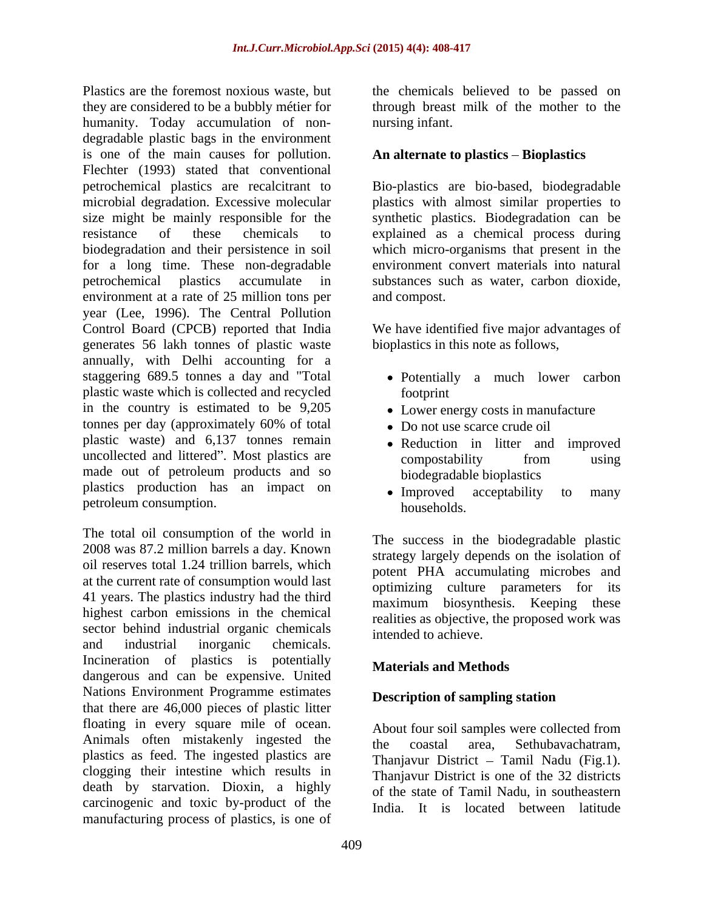Plastics are the foremost noxious waste, but the chemicals believed to be passed on they are considered to be a bubbly métier for humanity. Today accumulation of non degradable plastic bags in the environment is one of the main causes for pollution. Flechter (1993) stated that conventional petrochemical plastics are recalcitrant to Bio-plastics are bio-based, biodegradable microbial degradation. Excessive molecular plastics with almost similar properties to size might be mainly responsible for the synthetic plastics. Biodegradation can be resistance of these chemicals to explained as a chemical process during biodegradation and their persistence in soil which micro-organisms that present in the for a long time. These non-degradable petrochemical plastics accumulate in substances such as water, carbon dioxide, environment at a rate of 25 million tons per year (Lee, 1996). The Central Pollution Control Board (CPCB) reported that India We have identified five major advantages of generates 56 lakh tonnes of plastic waste annually, with Delhi accounting for a staggering 689.5 tonnes a day and "Total Potentially a much lower carbon plastic waste which is collected and recycled in the country is estimated to be 9,205 tonnes per day (approximately 60% of total plastic waste) and 6,137 tonnes remain uncollected and littered". Most plastics are compostability from using made out of petroleum products and so plastics production has an impact on  $\bullet$  Improved acceptability to many petroleum consumption. households.

The total oil consumption of the world in 2008 was 87.2 million barrels a day. Known oil reserves total 1.24 trillion barrels, which at the current rate of consumption would last 41 years. The plastics industry had the third highest carbon emissions in the chemical sector behind industrial organic chemicals and industrial inorganic chemicals. Incineration of plastics is potentially **Materials and Methods** dangerous and can be expensive. United Nations Environment Programme estimates that there are 46,000 pieces of plastic litter floating in every square mile of ocean.<br>Animals often mistakenly ingested the the coastal area Sethubayachatram Animals often mistakenly ingested the the coastal area, Sethubavachatram, plastics as feed. The ingested plastics are the Theorem District Temil Nedu (Fig. 1) clogging their intestine which results in death by starvation. Dioxin, a highly carcinogenic and toxic by-product of the manufacturing process of plastics, is one of

through breast milk of the mother to the nursing infant.

### An alternate to plastics – Bioplastics

environment convert materials into natural and compost.

bioplastics in this note as follows,

- footprint
- Lower energy costs in manufacture
- Do not use scarce crude oil
- Reduction in litter and improved compostability from using biodegradable bioplastics
- Improved acceptability to many households.

The success in the biodegradable plastic strategy largely depends on the isolation of potent PHA accumulating microbes and optimizing culture parameters for its maximum biosynthesis. Keeping these realities as objective, the proposed work was intended to achieve.

### **Materials and Methods**

### **Description of sampling station**

About four soil samples were collected from the coastal area, Sethubavachatram, Thanjavur District - Tamil Nadu (Fig.1). Thanjavur District is one of the 32 districts of the state of Tamil Nadu, in southeastern India. It is located between latitude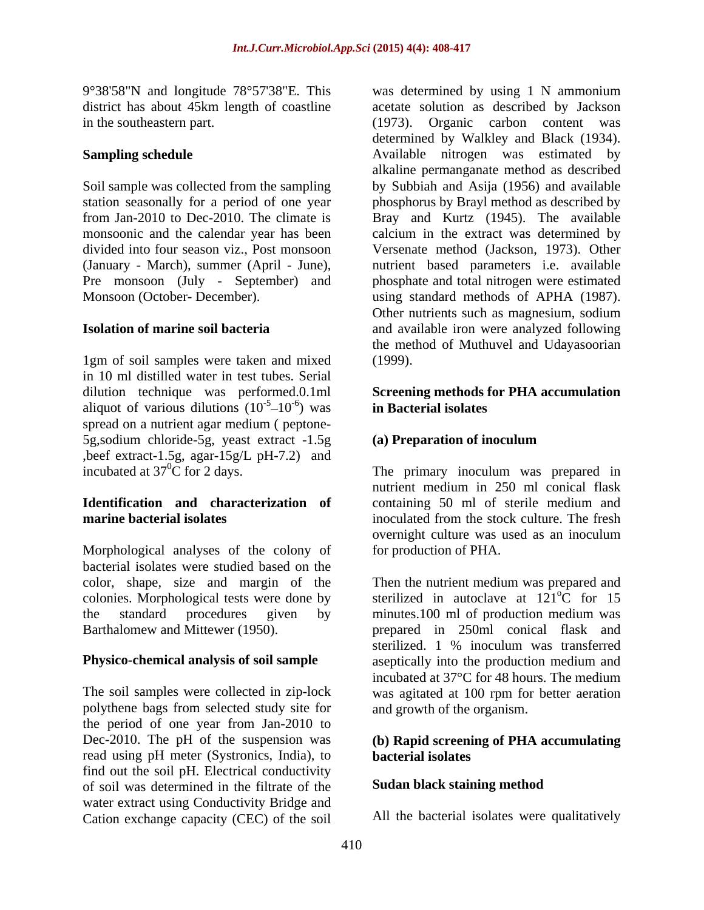station seasonally for a period of one year divided into four season viz., Post monsoon

1gm of soil samples were taken and mixed in 10 ml distilled water in test tubes. Serial dilution technique was performed.0.1ml **Screening methods for PHA accumulation**  aliquot of various dilutions  $(10^{-5}-10^{-6})$  was **in Bacterial isolates** spread on a nutrient agar medium ( peptone- 5g,sodium chloride-5g, yeast extract -1.5g ,beef extract-1.5g, agar-15g/L pH-7.2) and<br>incubated at  $37^0C$  for 2 days. incubated at  $37^{\circ}$ C for 2 days. The primary inoculum was prepared in

Morphological analyses of the colony of bacterial isolates were studied based on the color, shape, size and margin of the

polythene bags from selected study site for the period of one year from Jan-2010 to Dec-2010. The pH of the suspension was **(b) Rapid screening of PHA accumulating** read using pH meter (Systronics, India), to find out the soil pH. Electrical conductivity of soil was determined in the filtrate of the water extract using Conductivity Bridge and Cation exchange capacity (CEC) of the soil

9°38'58"N and longitude 78°57'38"E. This was determined by using 1 N ammonium district has about 45km length of coastline acetate solution as described by Jackson in the southeastern part. (1973). Organic carbon content was **Sampling schedule Sampling schedule Available nitrogen** was estimated by Soil sample was collected from the sampling by Subbiah and Asija (1956) and available from Jan-2010 to Dec-2010. The climate is Bray and Kurtz (1945). The available monsoonic and the calendar year has been calcium in the extract was determined by (January - March), summer (April - June), a nutrient based parameters i.e. available<br>Pre monsoon (July - September) and phosphate and total nitrogen were estimated Monsoon (October- December). using standard methods of APHA (1987). **Isolation of marine soil bacteria** and available iron were analyzed following determined by Walkley and Black (1934). alkaline permanganate method as described phosphorus by Brayl method as described by Versenate method (Jackson, 1973). Other nutrient based parameters i.e. available phosphate and total nitrogen were estimated Other nutrients such as magnesium, sodium the method of Muthuvel and Udayasoorian (1999).

### $-5$   $10^{-6}$  wes in Pectanial isolates  $10^{-6}$ ) was in Bacterial isolates ) was **in Bacterial isolates in Bacterial isolates**

## **(a) Preparation of inoculum**

**Identification and characterization of marine bacterial isolates** inoculated from the stock culture. The fresh nutrient medium in 250 ml conical flask containing 50 ml of sterile medium and overnight culture was used as an inoculum for production of PHA.

color, shape, size and margin of the Then the nutrient medium was prepared and colonies. Morphological tests were done by sterilized in autoclave at  $121^{\circ}$ C for 15 the standard procedures given by minutes.100 ml of production medium was Barthalomew and Mittewer (1950). prepared in 250ml conical flask and **Physico-chemical analysis of soil sample** aseptically into the production medium and The soil samples were collected in zip-lock was agitated at 100 rpm for better aeration  $\overline{C}$  for 15 sterilized. 1 % inoculum was transferred incubated at 37°C for 48 hours. The medium and growth of the organism.

# **bacterial isolates**

### **Sudan black staining method**

All the bacterial isolates were qualitatively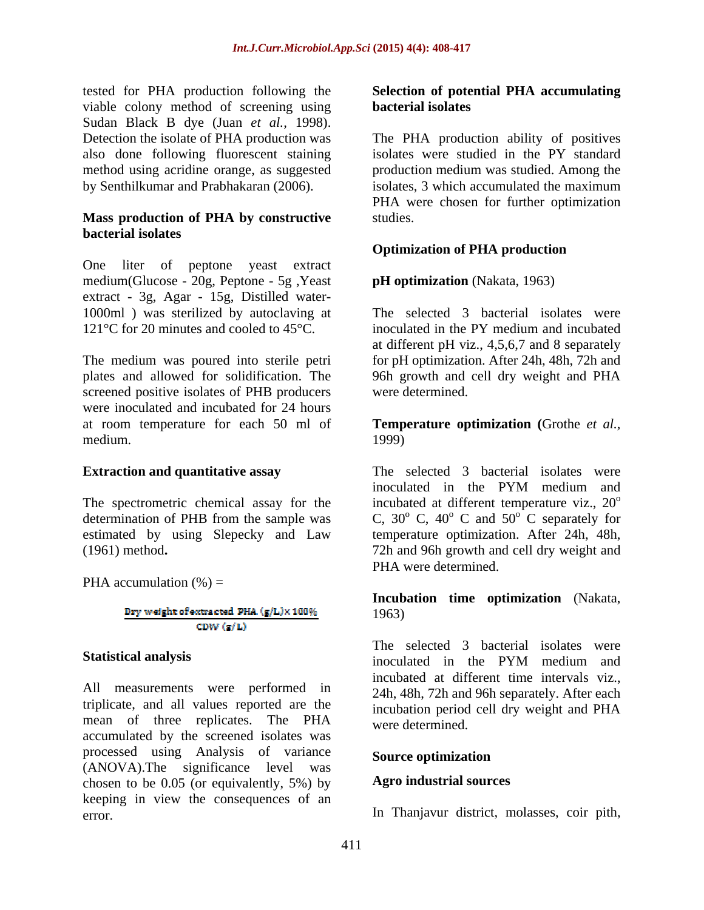tested for PHA production following the **Selection of potential PHA accumulating** viable colony method of screening using **bacterial isolates** Sudan Black B dye (Juan *et al.,* 1998).

### **Mass production of PHA by constructive bacterial isolates**

One liter of peptone yeast extract medium(Glucose - 20g, Peptone - 5g ,Yeast extract - 3g, Agar - 15g, Distilled water- 1000ml ) was sterilized by autoclaving at

screened positive isolates of PHB producers were inoculated and incubated for 24 hours at room temperature for each 50 ml of **Temperature optimization (**Grothe *et al.,* medium. (1999)

PHA accumulation  $(\% )$  =

### Dry weight of extracted PHA (g/L)×100% CDW  $(g/L)$

triplicate, and all values reported are the mean of three replicates. The PHA were determined accumulated by the screened isolates was processed using Analysis of variance (ANOVA).The significance level was chosen to be 0.05 (or equivalently, 5%) by keeping in view the consequences of an error. In Thanjavur district, molasses, coir pith,

# **bacterial isolates**

Detection the isolate of PHA production was The PHA production ability of positives also done following fluorescent staining isolates were studied in the PY standard method using acridine orange, as suggested production medium was studied. Among the by Senthilkumar and Prabhakaran (2006). isolates, 3 which accumulated the maximum PHA were chosen for further optimization studies.

## **Optimization of PHA production**

### **pH optimization** (Nakata, 1963)

121<sup>o</sup>C for 20 minutes and cooled to 45<sup>o</sup>C. inoculated in the PY medium and incubated The medium was poured into sterile petri for pH optimization. After 24h, 48h, 72h and plates and allowed for solidification. The 96h growth and cell dry weight and PHA The selected 3 bacterial isolates were at different pH viz., 4,5,6,7 and 8 separately were determined.

1999)

**Extraction and quantitative assay** The selected 3 bacterial isolates were The spectrometric chemical assay for the incubated at different temperature viz.,  $20^{\circ}$ determination of PHB from the sample was  $C$ ,  $30^{\circ}$  C,  $40^{\circ}$  C and  $50^{\circ}$  C separately for estimated by using Slepecky and Law temperature optimization. After 24h, 48h, (1961) method**.** 72h and 96h growth and cell dry weight and inoculated in the PYM medium and o  $\rm ^{o}$  C and  $\rm 50^{\circ}$  C separately for  $\overline{C}$  separately for PHA were determined.

> **Incubation time optimization** (Nakata, 1963)

**Statistical analysis** incorporation is the **Statistical analysis** incorporation in the **PYM** medium and All measurements were performed in incubated at different time intervals viz.,<br>
24h, 48h, 72h and 96h separately. After each The selected 3 bacterial isolates were inoculated in the PYM medium and incubated at different time intervals viz., 24h, 48h, 72h and 96h separately. After each incubation period cell dry weight and PHA were determined.

### **Source optimization**

### **Agro industrial sources**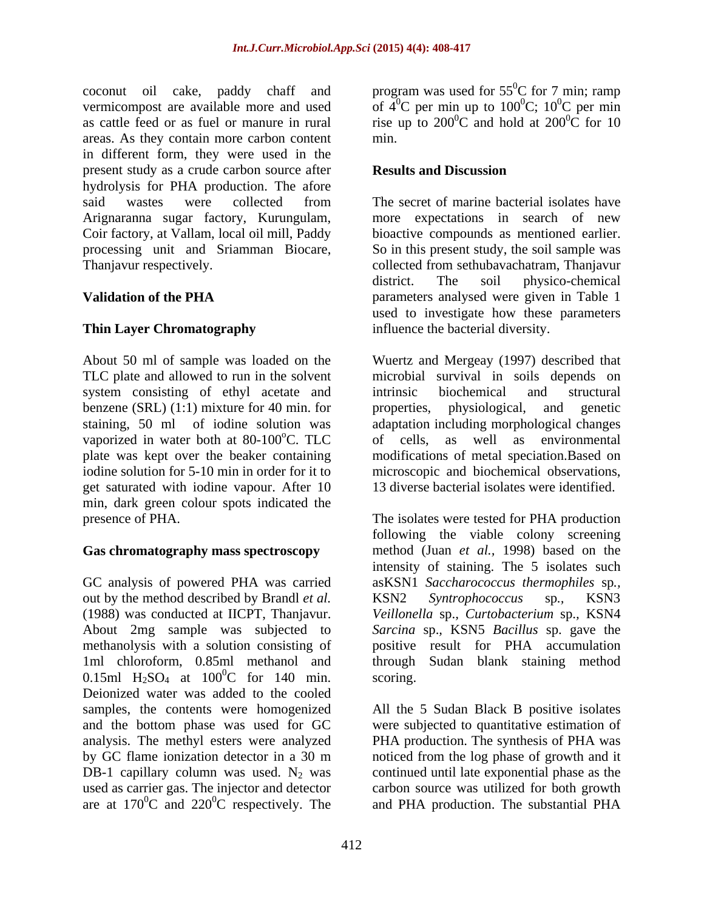coconut oil cake, paddy chaff and areas. As they contain more carbon content in different form, they were used in the present study as a crude carbon source after **Results and Discussion** hydrolysis for PHA production. The afore said wastes were collected from The secret of marine bacterial isolates have Arignaranna sugar factory, Kurungulam, more expectations in search of new<br>Coir factory, at Vallam, local oil mill, Paddy bioactive compounds as mentioned earlier. processing unit and Sriamman Biocare, So in this present study, the soil sample was Thanjavur respectively. collected from sethubavachatram, Thanjavur

About 50 ml of sample was loaded on the Wuertz and Mergeay (1997) described that TLC plate and allowed to run in the solvent system consisting of ethyl acetate and intrinsic biochemical and structural benzene (SRL) (1:1) mixture for 40 min. for properties, physiological, and genetic staining, 50 ml of iodine solution was adaptation including morphological changes vaporized in water both at  $80-100^{\circ}$ C. TLC of cells, as well as environmental plate was kept over the beaker containing modifications of metal speciation.Based on iodine solution for 5-10 min in order for it to microscopic and biochemical observations, get saturated with iodine vapour. After 10 min, dark green colour spots indicated the

GC analysis of powered PHA was carried out by the method described by Brandl *et al.* 0.15ml  $H_2SO_4$  at  $100^0C$  for 140 min. scoring. Deionized water was added to the cooled samples, the contents were homogenized All the 5 Sudan Black B positive isolates and the bottom phase was used for GC were subjected to quantitative estimation of analysis. The methyl esters were analyzed PHA production. The synthesis of PHA was by GC flame ionization detector in a 30 m noticed from the log phase of growth and it DB-1 capillary column was used.  $N_2$  was continued until late exponential phase as the used as carrier gas. The injector and detector carbon source was utilized for both growth are at  $170^0$ C and  $220^0$ C respectively. The and PHA production. The substantial PHA

vermicompost are available more and used of  $4^{\circ}$ C per min up to  $100^{\circ}$ C;  $10^{\circ}$ C per min as cattle feed or as fuel or manure in rural is in the up to  $200^{\circ}$ C and hold at  $200^{\circ}$ C for 10 program was used for  $55^{\circ}$ C for 7 min; ramp  ${}^{0}C$  for 7 min; ramp  ${}^{0}C$ ; 10<sup>0</sup>C per min  ${}^{0}C$  per min  ${}^{0}C$  and hold at 200 ${}^{0}C$  for 10  ${}^{0}C$  for 10 min.

### **Results and Discussion**

**Validation of the PHA** *parameters analysed were given in Table 1* **Thin Layer Chromatography** influence the bacterial diversity. The secret of marine bacterial isolates have more expectations in search of new bioactive compounds as mentioned earlier. district. The soil physico-chemical used to investigate how these parameters

> microbial survival in soils depends on intrinsic biochemical and structural properties, physiological, and genetic of cells, as well as environmental 13 diverse bacterial isolates were identified.

presence of PHA. The isolates were tested for PHA production **Gas chromatography mass spectroscopy** method (Juan *et al.,* 1998) based on the (1988) was conducted at IICPT, Thanjavur. *Veillonella* sp.*, Curtobacterium* sp.*,* KSN4 About 2mg sample was subjected to *Sarcina* sp.*,* KSN5 *Bacillus* sp. gave the methanolysis with a solution consisting of positive result for PHA accumulation 1ml chloroform, 0.85ml methanol and through Sudan blank staining method  ${}^{0}C$  for 140 min. scoring. following the viable colony screening intensity of staining. The 5 isolates such asKSN1 *Saccharococcus thermophiles* sp*.,* KSN2 *Syntrophococcus* sp*.,* KSN3 scoring.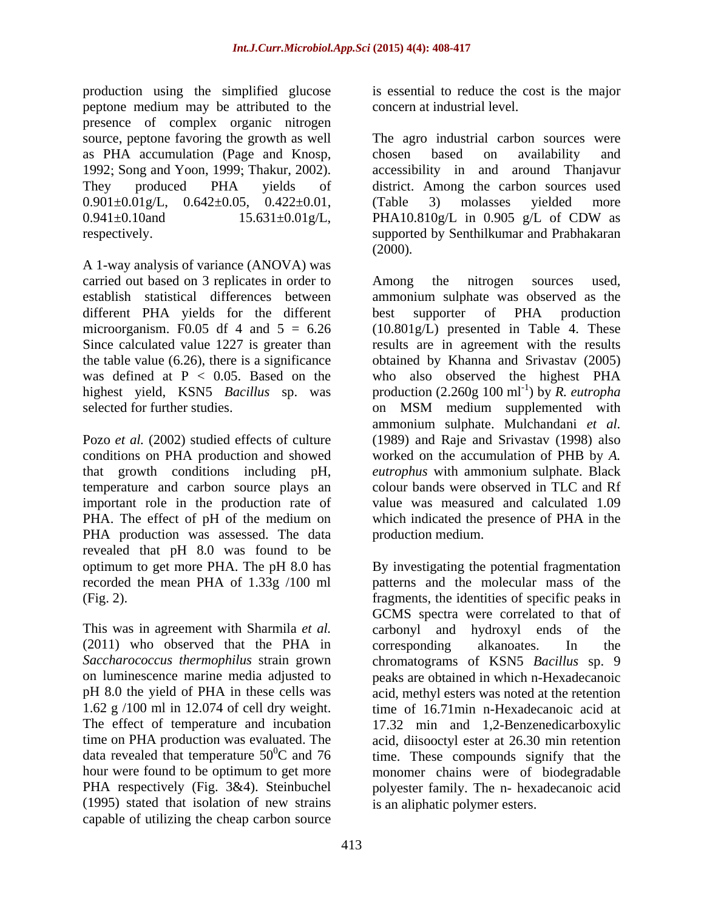production using the simplified glucose peptone medium may be attributed to the presence of complex organic nitrogen  $0.901 \pm 0.01$  g/L,  $0.642 \pm 0.05$ ,  $0.422 \pm 0.01$ , (Table 3) molasses vielded more 0.941±0.10and 15.631±0.01g/L, PHA10.810g/L in 0.905 g/L of CDW as

A 1-way analysis of variance (ANOVA) was carried out based on 3 replicates in order to Among the nitrogen sources used, different PHA yields for the different best supporter of PHA production

conditions on PHA production and showed temperature and carbon source plays an important role in the production rate of PHA production was assessed. The data revealed that pH 8.0 was found to be

This was in agreement with Sharmila *et al.* (2011) who observed that the PHA in corresponding alkanoates. In the (1995) stated that isolation of new strains capable of utilizing the cheap carbon source

is essential to reduce the cost is the major concern at industrial level.

source, peptone favoring the growth as well The agro industrial carbon sources were as PHA accumulation (Page and Knosp, chosen based on availability and 1992; Song and Yoon, 1999; Thakur, 2002). <br>
accessibility in and around Thanjavur They produced PHA yields of district. Among the carbon sources used respectively. supported by Senthilkumar and Prabhakaran chosen based on availability and accessibility in and around Thanjavur (Table 3) molasses yielded more PHA10.810g/L in 0.905 g/L of CDW as (2000)*.* 

establish statistical differences between ammonium sulphate was observed as the microorganism. F0.05 df 4 and 5 = 6.26 (10.801g/L) presented in Table 4. These Since calculated value 1227 is greater than results are in agreement with the results the table value (6.26), there is a significance obtained by Khanna and Srivastav (2005) was defined at P < 0.05. Based on the who also observed the highest PHA highest yield, KSN5 *Bacillus* sp. was production (2.260g 100 ml<sup>-1</sup>) by R. eutropha selected for further studies. on MSM medium supplemented with Pozo *et al.* (2002) studied effects of culture (1989) and Raje and Srivastav (1998) also that growth conditions including pH, *eutrophus* with ammonium sulphate. Black PHA. The effect of pH of the medium on which indicated the presence of PHA in the Among the nitrogen sources used*,* best supporter of PHA production ) by *R. eutropha* ammonium sulphate. Mulchandani *et al.* worked on the accumulation of PHB by *A.*  colour bands were observed in TLC and Rf value was measured and calculated 1.09 production medium.

optimum to get more PHA. The pH 8.0 has By investigating the potential fragmentation recorded the mean PHA of 1.33g /100 ml patterns and the molecular mass of the (Fig. 2). fragments, the identities of specific peaks in *Saccharococcus thermophilus* strain grown chromatograms of KSN5 *Bacillus* sp. 9 on luminescence marine media adjusted to peaks are obtained in which n-Hexadecanoic pH 8.0 the yield of PHA in these cells was acid, methyl esters was noted at the retention 1.62 g /100 ml in 12.074 of cell dry weight. time of 16.71min n-Hexadecanoic acid at The effect of temperature and incubation 17.32 min and 1,2-Benzenedicarboxylic time on PHA production was evaluated. The acid, diisooctyl ester at 26.30 min retention data revealed that temperature  $50^{\circ}$ C and 76 time. These compounds signify that the hour were found to be optimum to get more monomer chains were of biodegradable PHA respectively (Fig. 3&4). Steinbuchel polyester family. The n- hexadecanoic acid GCMS spectra were correlated to that of carbonyl and hydroxyl ends of corresponding alkanoates. In the is an aliphatic polymer esters.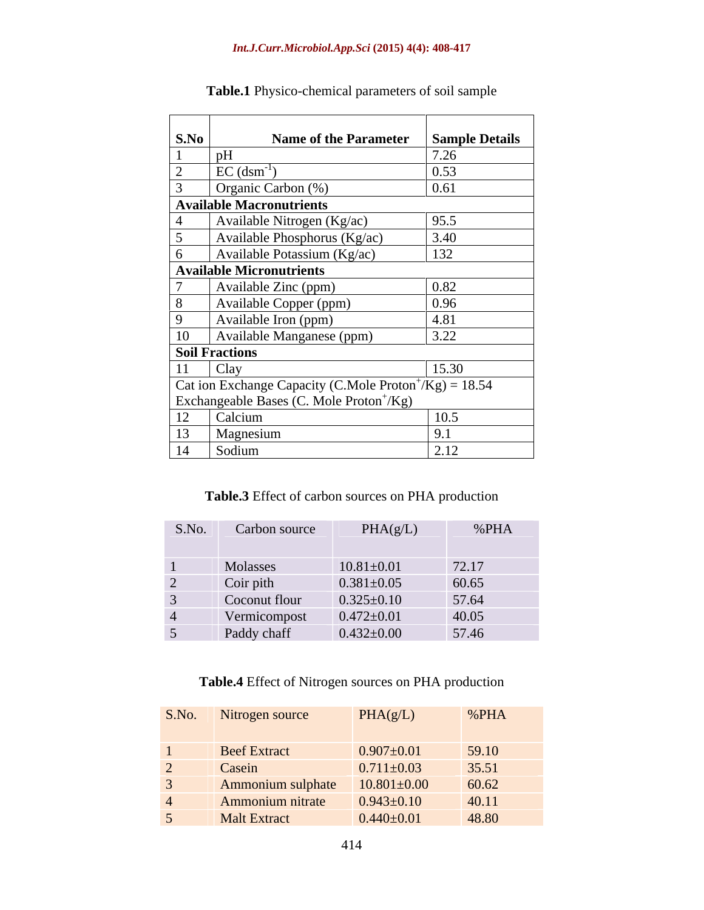| S.No        | Name of the Parameter Sample Details                                 |                    |
|-------------|----------------------------------------------------------------------|--------------------|
|             |                                                                      | 7.26               |
|             | $EC$ (dsm <sup>-1</sup> )                                            | 0.53               |
|             | Organic Carbon (%)                                                   | 0.61               |
|             | <b>Available Macronutrients</b>                                      |                    |
|             | Available Nitrogen ( $Kg/ac$ )                                       | 95.5               |
|             | Available Phosphorus ( $Kg/ac$ )                                     | 3.40               |
|             | Available Potassium $(Kg/ac)$                                        | 132                |
|             | <b>Available Micronutrients</b>                                      |                    |
|             | Available Zinc (ppm)                                                 | $\vert 0.82 \vert$ |
|             | Available Copper (ppm)                                               | 0.96               |
| $\mathbf Q$ | Available Iron (ppm)                                                 | 4.81               |
|             | 10   Available Manganese (ppm)                                       | 3.22               |
|             | <b>Soil Fractions</b>                                                |                    |
|             | $11$ Clay                                                            | 15.30              |
|             | Cat ion Exchange Capacity (C.Mole Proton <sup>+</sup> /Kg) = $18.54$ |                    |
|             | Exchangeable Bases (C. Mole Proton <sup>+</sup> /Kg)                 |                    |
| 12          | Calcium                                                              | 10.5               |
| 13          | Magnesium                                                            | 9.1                |
| 14          | Sodium                                                               | 2.12               |

**Table.1** Physico-chemical parameters of soil sample

## **Table.3** Effect of carbon sources on PHA production

| S.No. Carbon source | PHA(g/L)         | %PHA            |
|---------------------|------------------|-----------------|
|                     |                  |                 |
| Molasses            | $10.81 \pm 0.01$ | 72.17           |
| Coir pith           | $0.381 \pm 0.05$ | 60.65           |
| Coconut flour       | $0.325 \pm 0.10$ | 57.64           |
| Vermicompost        | $0.472 \pm 0.01$ | $\boxed{40.05}$ |
| Paddy chaff         | $0.432 \pm 0.00$ | 57.46           |

## **Table.4** Effect of Nitrogen sources on PHA production

| S.No. Nitrogen source | PHA(g/L)          | %PHA  |
|-----------------------|-------------------|-------|
| <b>Beef Extract</b>   | $0.907 \pm 0.01$  | 59.10 |
| Casein                | $0.711 \pm 0.03$  | 35.51 |
| Ammonium sulphate     | $10.801 \pm 0.00$ | 60.62 |
| Ammonium nitrate      | $0.943 \pm 0.10$  | 40.11 |
| <b>Malt Extract</b>   | $0.440 \pm 0.01$  | 48.80 |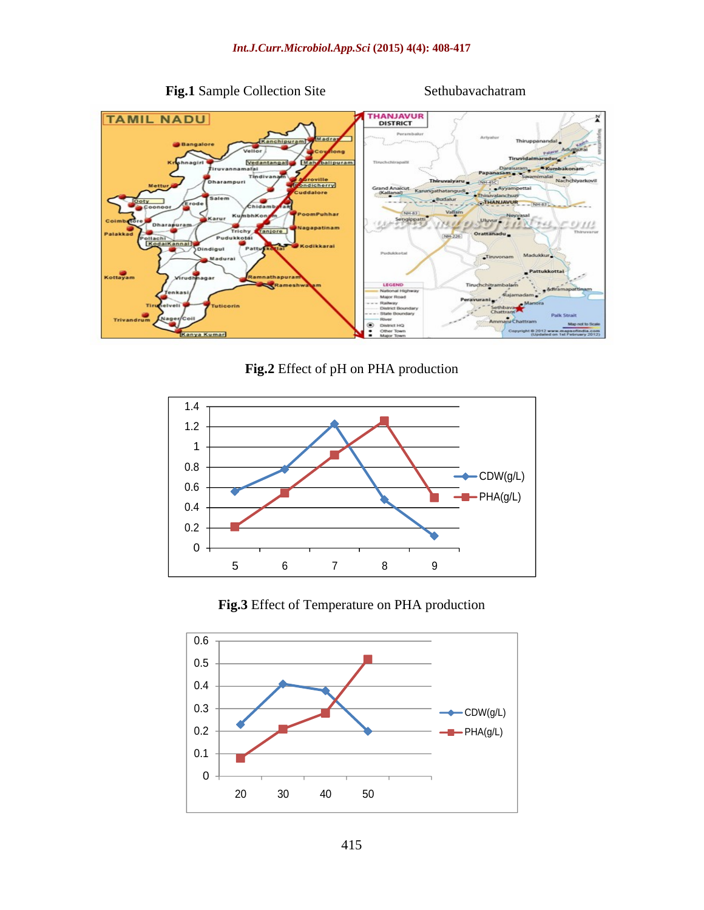

### **Fig.1** Sample Collection Site Sethubavachatram



**Fig.2** Effect of pH on PHA production



**Fig.3** Effect of Temperature on PHA production

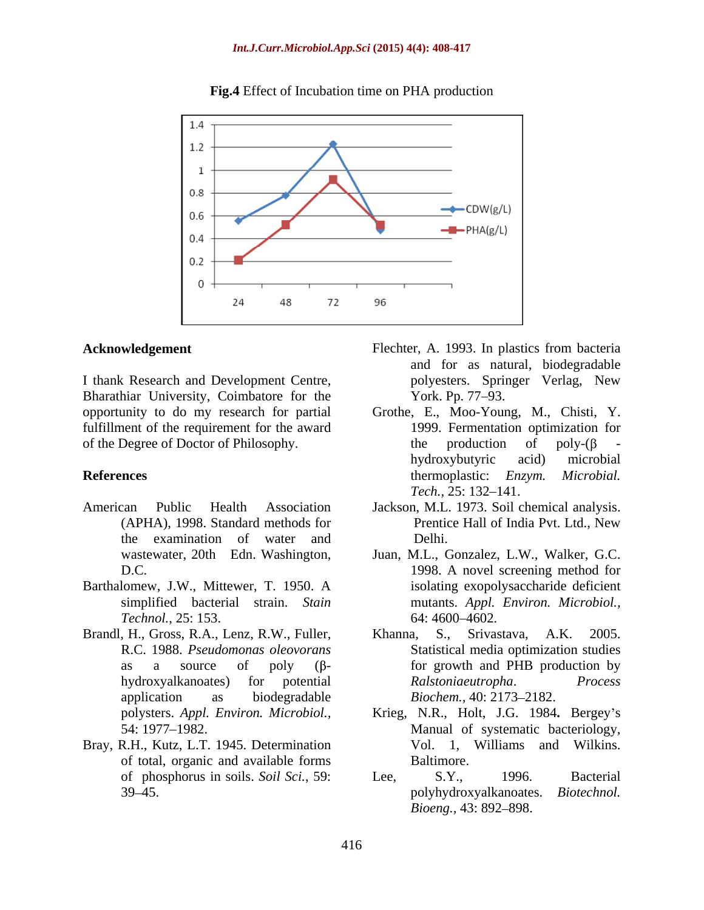

### **Fig.4** Effect of Incubation time on PHA production

I thank Research and Development Centre,  $\qquad \qquad$  polyesters. Springer Verlag, New Bharathiar University, Coimbatore for the York. Pp. 77–93. fulfillment of the requirement for the award of the Degree of Doctor of Philosophy.  $\theta$  the production of poly- $(\beta$ 

- the examination of water and
- Barthalomew, J.W., Mittewer, T. 1950. A *Technol.*, 25: 153.
- Brandl, H., Gross, R.A., Lenz, R.W., Fuller, Khanna, S., Srivastava, A.K. 2005. application as biodegradable *Biochem.*, 40: 2173–2182.
- Bray, R.H., Kutz, L.T. 1945. Determination of total, organic and available forms
- **Acknowledgement** Flechter, A. 1993. In plastics from bacteria and for as natural, biodegradable polyesters. Springer Verlag, New York. Pp. 77–93.
- opportunity to do my research for partial Grothe, E., Moo-Young, M., Chisti, Y. **References** thermoplastic: *Enzym. Microbial.* 1999. Fermentation optimization for the production of poly- $(\beta$  hydroxybutyric acid) microbial *Tech.,* 25: 132–141.
- American Public Health Association Jackson, M.L. 1973. Soil chemical analysis. (APHA), 1998. Standard methods for Prentice Hall of India Pvt. Ltd., New Delhi.
	- wastewater, 20th Edn. Washington, Juan, M.L., Gonzalez, L.W., Walker, G.C. D.C. 1998. A novel screening method for simplified bacterial strain. *Stain*  mutants. *Appl. Environ. Microbiol.,* isolating exopolysaccharide deficient 64: 4600–4602.
	- R.C. 1988. *Pseudomonas oleovorans* Statistical media optimization studies as a source of poly  $(\beta$ - for growth and PHB production by hydroxyalkanoates) for potential *Ralstoniaeutropha*. *Process* Khanna, S., Srivastava, A.K. 2005.  $Ralstoniaeutropha.$ *Biochem.,* 40: 2173–2182.
	- polysters. *Appl. Environ. Microbiol.,* Krieg, N.R., Holt, J.G. 1984**.** Bergey s 54: 1977 1982. Manual of systematic bacteriology, Vol. 1, Williams and Wilkins. Baltimore.
	- of phosphorus in soils. *Soil Sci.*, 59: 39 45. polyhydroxyalkanoates. *Biotechnol.*  Lee, S.Y., 1996. Bacterial *Bioeng.,* 43: 892–898.